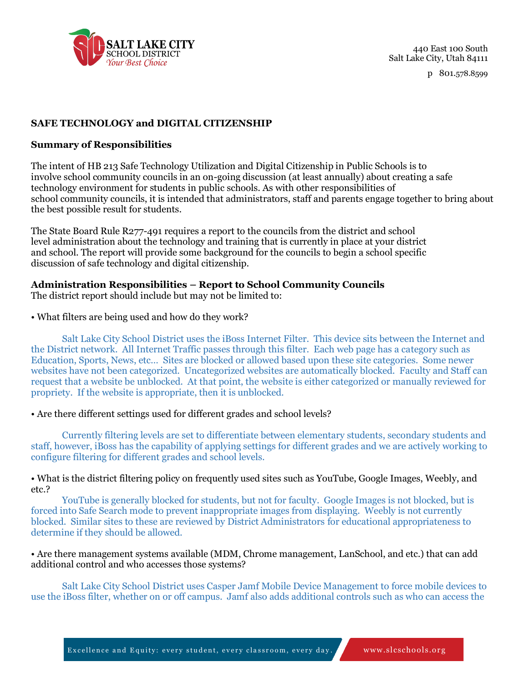

440 East 100 South Salt Lake City, Utah 84111

p 801.578.8599

# **SAFE TECHNOLOGY and DIGITAL CITIZENSHIP**

#### **Summary of Responsibilities**

The intent of HB 213 Safe Technology Utilization and Digital Citizenship in Public Schools is to involve school community councils in an on-going discussion (at least annually) about creating a safe technology environment for students in public schools. As with other responsibilities of school community councils, it is intended that administrators, staff and parents engage together to bring about the best possible result for students.

The State Board Rule R277-491 requires a report to the councils from the district and school level administration about the technology and training that is currently in place at your district and school. The report will provide some background for the councils to begin a school specific discussion of safe technology and digital citizenship.

## **Administration Responsibilities – Report to School Community Councils**

The district report should include but may not be limited to:

#### • What filters are being used and how do they work?

Salt Lake City School District uses the iBoss Internet Filter. This device sits between the Internet and the District network. All Internet Traffic passes through this filter. Each web page has a category such as Education, Sports, News, etc… Sites are blocked or allowed based upon these site categories. Some newer websites have not been categorized. Uncategorized websites are automatically blocked. Faculty and Staff can request that a website be unblocked. At that point, the website is either categorized or manually reviewed for propriety. If the website is appropriate, then it is unblocked.

• Are there different settings used for different grades and school levels?

Currently filtering levels are set to differentiate between elementary students, secondary students and staff, however, iBoss has the capability of applying settings for different grades and we are actively working to configure filtering for different grades and school levels.

• What is the district filtering policy on frequently used sites such as YouTube, Google Images, Weebly, and etc.?

YouTube is generally blocked for students, but not for faculty. Google Images is not blocked, but is forced into Safe Search mode to prevent inappropriate images from displaying. Weebly is not currently blocked. Similar sites to these are reviewed by District Administrators for educational appropriateness to determine if they should be allowed.

• Are there management systems available (MDM, Chrome management, LanSchool, and etc.) that can add additional control and who accesses those systems?

Salt Lake City School District uses Casper Jamf Mobile Device Management to force mobile devices to use the iBoss filter, whether on or off campus. Jamf also adds additional controls such as who can access the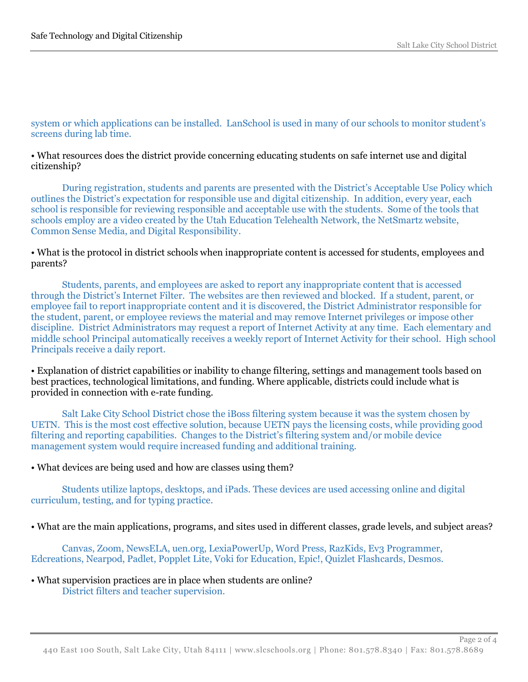## system or which applications can be installed. LanSchool is used in many of our schools to monitor student's screens during lab time.

#### • What resources does the district provide concerning educating students on safe internet use and digital citizenship?

During registration, students and parents are presented with the District's Acceptable Use Policy which outlines the District's expectation for responsible use and digital citizenship. In addition, every year, each school is responsible for reviewing responsible and acceptable use with the students. Some of the tools that schools employ are a video created by the Utah Education Telehealth Network, the NetSmartz website, Common Sense Media, and Digital Responsibility.

#### • What is the protocol in district schools when inappropriate content is accessed for students, employees and parents?

Students, parents, and employees are asked to report any inappropriate content that is accessed through the District's Internet Filter. The websites are then reviewed and blocked. If a student, parent, or employee fail to report inappropriate content and it is discovered, the District Administrator responsible for the student, parent, or employee reviews the material and may remove Internet privileges or impose other discipline. District Administrators may request a report of Internet Activity at any time. Each elementary and middle school Principal automatically receives a weekly report of Internet Activity for their school. High school Principals receive a daily report.

• Explanation of district capabilities or inability to change filtering, settings and management tools based on best practices, technological limitations, and funding. Where applicable, districts could include what is provided in connection with e-rate funding.

Salt Lake City School District chose the iBoss filtering system because it was the system chosen by UETN. This is the most cost effective solution, because UETN pays the licensing costs, while providing good filtering and reporting capabilities. Changes to the District's filtering system and/or mobile device management system would require increased funding and additional training.

## • What devices are being used and how are classes using them?

Students utilize laptops, desktops, and iPads. These devices are used accessing online and digital curriculum, testing, and for typing practice.

• What are the main applications, programs, and sites used in different classes, grade levels, and subject areas?

Canvas, Zoom, NewsELA, uen.org, LexiaPowerUp, Word Press, RazKids, Ev3 Programmer, Edcreations, Nearpod, Padlet, Popplet Lite, Voki for Education, Epic!, Quizlet Flashcards, Desmos.

• What supervision practices are in place when students are online? District filters and teacher supervision.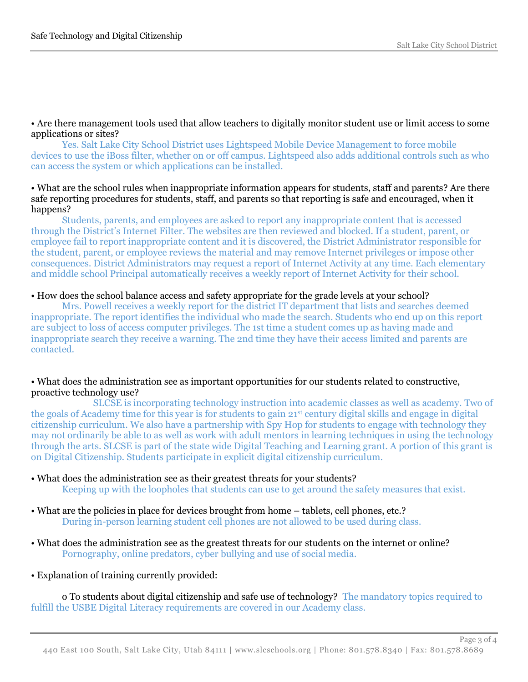• Are there management tools used that allow teachers to digitally monitor student use or limit access to some applications or sites?

Yes. Salt Lake City School District uses Lightspeed Mobile Device Management to force mobile devices to use the iBoss filter, whether on or off campus. Lightspeed also adds additional controls such as who can access the system or which applications can be installed.

## • What are the school rules when inappropriate information appears for students, staff and parents? Are there safe reporting procedures for students, staff, and parents so that reporting is safe and encouraged, when it happens?

Students, parents, and employees are asked to report any inappropriate content that is accessed through the District's Internet Filter. The websites are then reviewed and blocked. If a student, parent, or employee fail to report inappropriate content and it is discovered, the District Administrator responsible for the student, parent, or employee reviews the material and may remove Internet privileges or impose other consequences. District Administrators may request a report of Internet Activity at any time. Each elementary and middle school Principal automatically receives a weekly report of Internet Activity for their school.

## • How does the school balance access and safety appropriate for the grade levels at your school?

Mrs. Powell receives a weekly report for the district IT department that lists and searches deemed inappropriate. The report identifies the individual who made the search. Students who end up on this report are subject to loss of access computer privileges. The 1st time a student comes up as having made and inappropriate search they receive a warning. The 2nd time they have their access limited and parents are contacted.

## • What does the administration see as important opportunities for our students related to constructive, proactive technology use?

SLCSE is incorporating technology instruction into academic classes as well as academy. Two of the goals of Academy time for this year is for students to gain 21st century digital skills and engage in digital citizenship curriculum. We also have a partnership with Spy Hop for students to engage with technology they may not ordinarily be able to as well as work with adult mentors in learning techniques in using the technology through the arts. SLCSE is part of the state wide Digital Teaching and Learning grant. A portion of this grant is on Digital Citizenship. Students participate in explicit digital citizenship curriculum.

- What does the administration see as their greatest threats for your students? Keeping up with the loopholes that students can use to get around the safety measures that exist.
- What are the policies in place for devices brought from home tablets, cell phones, etc.? During in-person learning student cell phones are not allowed to be used during class.
- What does the administration see as the greatest threats for our students on the internet or online? Pornography, online predators, cyber bullying and use of social media.
- Explanation of training currently provided:

o To students about digital citizenship and safe use of technology? The mandatory topics required to fulfill the USBE Digital Literacy requirements are covered in our Academy class.